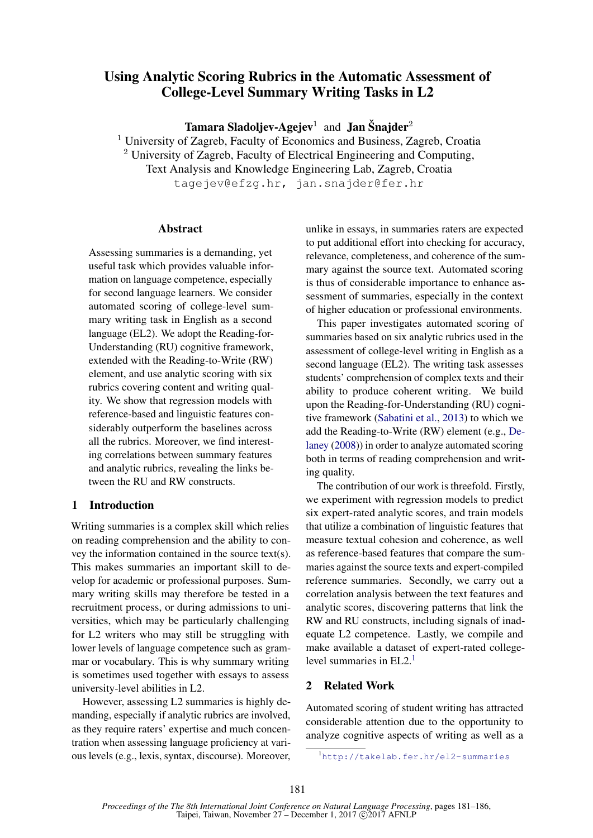# Using Analytic Scoring Rubrics in the Automatic Assessment of College-Level Summary Writing Tasks in L2

**Tamara Sladoljev-Agejev** $^1$  **and Jan Šnajder** $^2$ 

<sup>1</sup> University of Zagreb, Faculty of Economics and Business, Zagreb, Croatia <sup>2</sup> University of Zagreb, Faculty of Electrical Engineering and Computing, Text Analysis and Knowledge Engineering Lab, Zagreb, Croatia tagejev@efzg.hr, jan.snajder@fer.hr

#### Abstract

Assessing summaries is a demanding, yet useful task which provides valuable information on language competence, especially for second language learners. We consider automated scoring of college-level summary writing task in English as a second language (EL2). We adopt the Reading-for-Understanding (RU) cognitive framework, extended with the Reading-to-Write (RW) element, and use analytic scoring with six rubrics covering content and writing quality. We show that regression models with reference-based and linguistic features considerably outperform the baselines across all the rubrics. Moreover, we find interesting correlations between summary features and analytic rubrics, revealing the links between the RU and RW constructs.

## 1 Introduction

Writing summaries is a complex skill which relies on reading comprehension and the ability to convey the information contained in the source text(s). This makes summaries an important skill to develop for academic or professional purposes. Summary writing skills may therefore be tested in a recruitment process, or during admissions to universities, which may be particularly challenging for L2 writers who may still be struggling with lower levels of language competence such as grammar or vocabulary. This is why summary writing is sometimes used together with essays to assess university-level abilities in L2.

However, assessing L2 summaries is highly demanding, especially if analytic rubrics are involved, as they require raters' expertise and much concentration when assessing language proficiency at various levels (e.g., lexis, syntax, discourse). Moreover, unlike in essays, in summaries raters are expected to put additional effort into checking for accuracy, relevance, completeness, and coherence of the summary against the source text. Automated scoring is thus of considerable importance to enhance assessment of summaries, especially in the context of higher education or professional environments.

This paper investigates automated scoring of summaries based on six analytic rubrics used in the assessment of college-level writing in English as a second language (EL2). The writing task assesses students' comprehension of complex texts and their ability to produce coherent writing. We build upon the Reading-for-Understanding (RU) cognitive framework (Sabatini et al., 2013) to which we add the Reading-to-Write (RW) element (e.g., Delaney (2008)) in order to analyze automated scoring both in terms of reading comprehension and writing quality.

The contribution of our work is threefold. Firstly, we experiment with regression models to predict six expert-rated analytic scores, and train models that utilize a combination of linguistic features that measure textual cohesion and coherence, as well as reference-based features that compare the summaries against the source texts and expert-compiled reference summaries. Secondly, we carry out a correlation analysis between the text features and analytic scores, discovering patterns that link the RW and RU constructs, including signals of inadequate L2 competence. Lastly, we compile and make available a dataset of expert-rated collegelevel summaries in  $EL<sub>2</sub><sup>1</sup>$ 

## 2 Related Work

Automated scoring of student writing has attracted considerable attention due to the opportunity to analyze cognitive aspects of writing as well as a

<sup>1</sup>http://takelab.fer.hr/el2-summaries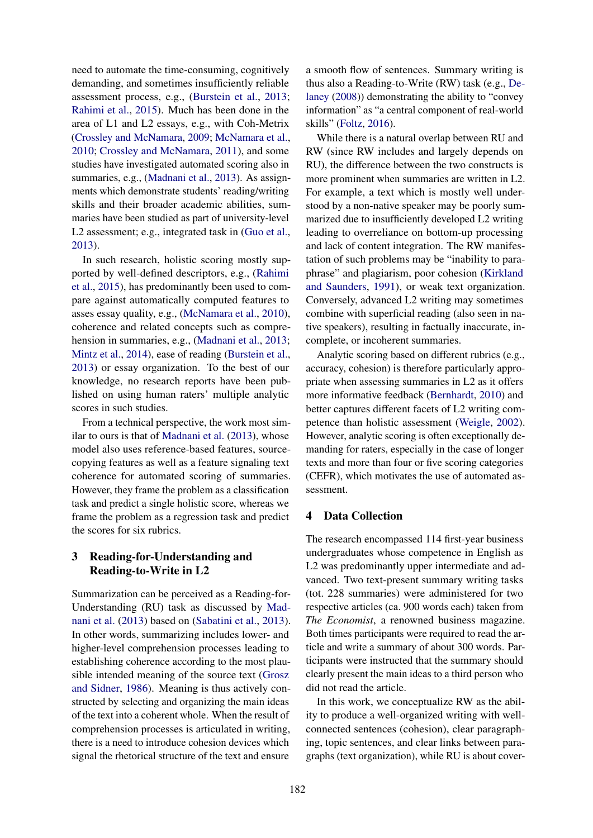need to automate the time-consuming, cognitively demanding, and sometimes insufficiently reliable assessment process, e.g., (Burstein et al., 2013; Rahimi et al., 2015). Much has been done in the area of L1 and L2 essays, e.g., with Coh-Metrix (Crossley and McNamara, 2009; McNamara et al., 2010; Crossley and McNamara, 2011), and some studies have investigated automated scoring also in summaries, e.g., (Madnani et al., 2013). As assignments which demonstrate students' reading/writing skills and their broader academic abilities, summaries have been studied as part of university-level L2 assessment; e.g., integrated task in (Guo et al., 2013).

In such research, holistic scoring mostly supported by well-defined descriptors, e.g., (Rahimi et al., 2015), has predominantly been used to compare against automatically computed features to asses essay quality, e.g., (McNamara et al., 2010), coherence and related concepts such as comprehension in summaries, e.g., (Madnani et al., 2013; Mintz et al., 2014), ease of reading (Burstein et al., 2013) or essay organization. To the best of our knowledge, no research reports have been published on using human raters' multiple analytic scores in such studies.

From a technical perspective, the work most similar to ours is that of Madnani et al. (2013), whose model also uses reference-based features, sourcecopying features as well as a feature signaling text coherence for automated scoring of summaries. However, they frame the problem as a classification task and predict a single holistic score, whereas we frame the problem as a regression task and predict the scores for six rubrics.

## 3 Reading-for-Understanding and Reading-to-Write in L2

Summarization can be perceived as a Reading-for-Understanding (RU) task as discussed by Madnani et al. (2013) based on (Sabatini et al., 2013). In other words, summarizing includes lower- and higher-level comprehension processes leading to establishing coherence according to the most plausible intended meaning of the source text (Grosz and Sidner, 1986). Meaning is thus actively constructed by selecting and organizing the main ideas of the text into a coherent whole. When the result of comprehension processes is articulated in writing, there is a need to introduce cohesion devices which signal the rhetorical structure of the text and ensure

a smooth flow of sentences. Summary writing is thus also a Reading-to-Write (RW) task (e.g., Delaney (2008)) demonstrating the ability to "convey information" as "a central component of real-world skills" (Foltz, 2016).

While there is a natural overlap between RU and RW (since RW includes and largely depends on RU), the difference between the two constructs is more prominent when summaries are written in L2. For example, a text which is mostly well understood by a non-native speaker may be poorly summarized due to insufficiently developed L2 writing leading to overreliance on bottom-up processing and lack of content integration. The RW manifestation of such problems may be "inability to paraphrase" and plagiarism, poor cohesion (Kirkland and Saunders, 1991), or weak text organization. Conversely, advanced L2 writing may sometimes combine with superficial reading (also seen in native speakers), resulting in factually inaccurate, incomplete, or incoherent summaries.

Analytic scoring based on different rubrics (e.g., accuracy, cohesion) is therefore particularly appropriate when assessing summaries in L2 as it offers more informative feedback (Bernhardt, 2010) and better captures different facets of L2 writing competence than holistic assessment (Weigle, 2002). However, analytic scoring is often exceptionally demanding for raters, especially in the case of longer texts and more than four or five scoring categories (CEFR), which motivates the use of automated assessment.

## 4 Data Collection

The research encompassed 114 first-year business undergraduates whose competence in English as L2 was predominantly upper intermediate and advanced. Two text-present summary writing tasks (tot. 228 summaries) were administered for two respective articles (ca. 900 words each) taken from *The Economist*, a renowned business magazine. Both times participants were required to read the article and write a summary of about 300 words. Participants were instructed that the summary should clearly present the main ideas to a third person who did not read the article.

In this work, we conceptualize RW as the ability to produce a well-organized writing with wellconnected sentences (cohesion), clear paragraphing, topic sentences, and clear links between paragraphs (text organization), while RU is about cover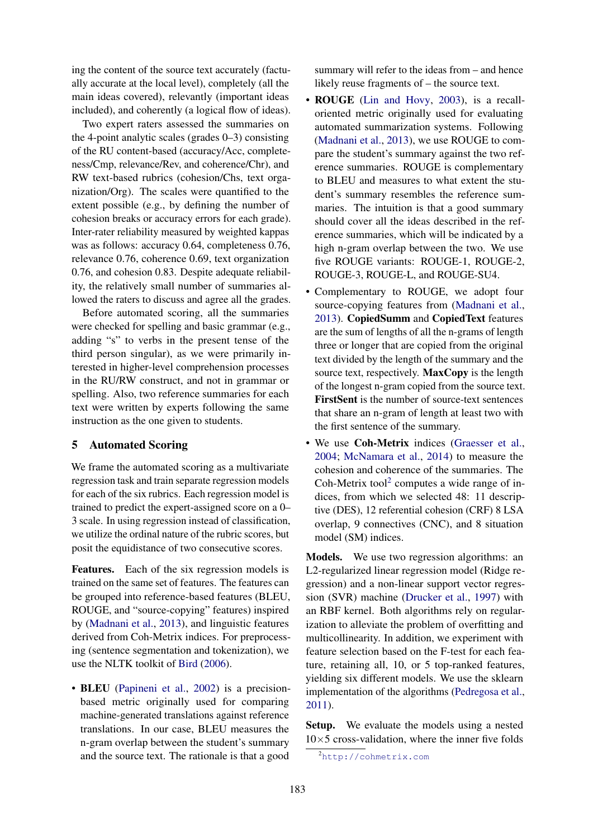ing the content of the source text accurately (factually accurate at the local level), completely (all the main ideas covered), relevantly (important ideas included), and coherently (a logical flow of ideas).

Two expert raters assessed the summaries on the 4-point analytic scales (grades 0–3) consisting of the RU content-based (accuracy/Acc, completeness/Cmp, relevance/Rev, and coherence/Chr), and RW text-based rubrics (cohesion/Chs, text organization/Org). The scales were quantified to the extent possible (e.g., by defining the number of cohesion breaks or accuracy errors for each grade). Inter-rater reliability measured by weighted kappas was as follows: accuracy 0.64, completeness 0.76, relevance 0.76, coherence 0.69, text organization 0.76, and cohesion 0.83. Despite adequate reliability, the relatively small number of summaries allowed the raters to discuss and agree all the grades.

Before automated scoring, all the summaries were checked for spelling and basic grammar (e.g., adding "s" to verbs in the present tense of the third person singular), as we were primarily interested in higher-level comprehension processes in the RU/RW construct, and not in grammar or spelling. Also, two reference summaries for each text were written by experts following the same instruction as the one given to students.

## 5 Automated Scoring

We frame the automated scoring as a multivariate regression task and train separate regression models for each of the six rubrics. Each regression model is trained to predict the expert-assigned score on a 0– 3 scale. In using regression instead of classification, we utilize the ordinal nature of the rubric scores, but posit the equidistance of two consecutive scores.

Features. Each of the six regression models is trained on the same set of features. The features can be grouped into reference-based features (BLEU, ROUGE, and "source-copying" features) inspired by (Madnani et al., 2013), and linguistic features derived from Coh-Metrix indices. For preprocessing (sentence segmentation and tokenization), we use the NLTK toolkit of Bird (2006).

• BLEU (Papineni et al., 2002) is a precisionbased metric originally used for comparing machine-generated translations against reference translations. In our case, BLEU measures the n-gram overlap between the student's summary and the source text. The rationale is that a good summary will refer to the ideas from – and hence likely reuse fragments of – the source text.

- ROUGE (Lin and Hovy, 2003), is a recalloriented metric originally used for evaluating automated summarization systems. Following (Madnani et al., 2013), we use ROUGE to compare the student's summary against the two reference summaries. ROUGE is complementary to BLEU and measures to what extent the student's summary resembles the reference summaries. The intuition is that a good summary should cover all the ideas described in the reference summaries, which will be indicated by a high n-gram overlap between the two. We use five ROUGE variants: ROUGE-1, ROUGE-2, ROUGE-3, ROUGE-L, and ROUGE-SU4.
- Complementary to ROUGE, we adopt four source-copying features from (Madnani et al., 2013). CopiedSumm and CopiedText features are the sum of lengths of all the n-grams of length three or longer that are copied from the original text divided by the length of the summary and the source text, respectively. **MaxCopy** is the length of the longest n-gram copied from the source text. FirstSent is the number of source-text sentences that share an n-gram of length at least two with the first sentence of the summary.
- We use Coh-Metrix indices (Graesser et al., 2004; McNamara et al., 2014) to measure the cohesion and coherence of the summaries. The Coh-Metrix tool<sup>2</sup> computes a wide range of indices, from which we selected 48: 11 descriptive (DES), 12 referential cohesion (CRF) 8 LSA overlap, 9 connectives (CNC), and 8 situation model (SM) indices.

Models. We use two regression algorithms: an L2-regularized linear regression model (Ridge regression) and a non-linear support vector regression (SVR) machine (Drucker et al., 1997) with an RBF kernel. Both algorithms rely on regularization to alleviate the problem of overfitting and multicollinearity. In addition, we experiment with feature selection based on the F-test for each feature, retaining all, 10, or 5 top-ranked features, yielding six different models. We use the sklearn implementation of the algorithms (Pedregosa et al., 2011).

Setup. We evaluate the models using a nested  $10\times5$  cross-validation, where the inner five folds

<sup>2</sup>http://cohmetrix.com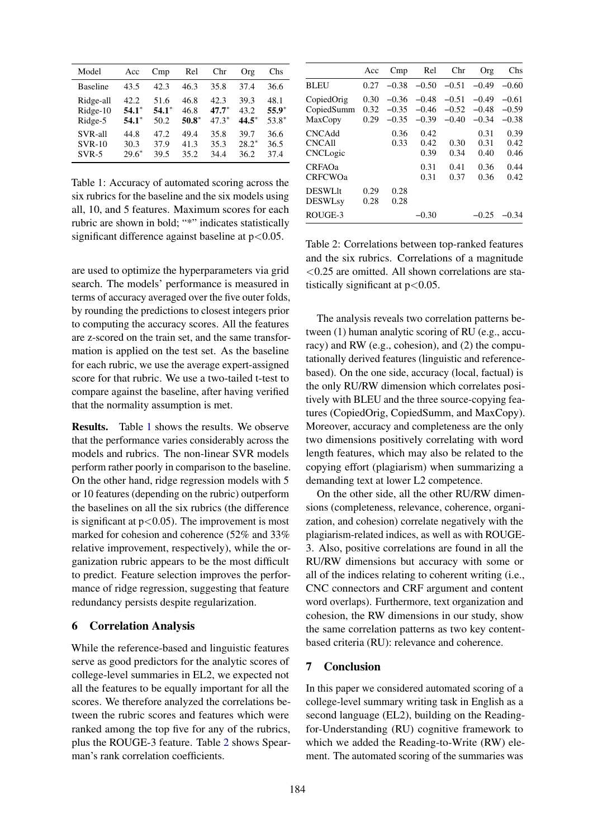| Model           | Acc     | Cmp     | Rel     | Chr     | Org     | Chs     |
|-----------------|---------|---------|---------|---------|---------|---------|
| <b>Baseline</b> | 43.5    | 42.3    | 46.3    | 35.8    | 37.4    | 36.6    |
| Ridge-all       | 42.2    | 51.6    | 46.8    | 42.3    | 39.3    | 48.1    |
| Ridge-10        | $54.1*$ | $54.1*$ | 46.8    | $47.7*$ | 43.2    | $55.9*$ |
| Ridge-5         | $54.1*$ | 50.2    | $50.8*$ | $47.3*$ | $44.5*$ | 53.8*   |
| SVR-all         | 44.8    | 47.2    | 49.4    | 35.8    | 39.7    | 36.6    |
| $SVR-10$        | 30.3    | 37.9    | 41.3    | 35.3    | $28.2*$ | 36.5    |
| $SVR-5$         | $29.6*$ | 39.5    | 35.2    | 34.4    | 36.2    | 37.4    |

Table 1: Accuracy of automated scoring across the six rubrics for the baseline and the six models using all, 10, and 5 features. Maximum scores for each rubric are shown in bold; "\*" indicates statistically significant difference against baseline at  $p < 0.05$ .

are used to optimize the hyperparameters via grid search. The models' performance is measured in terms of accuracy averaged over the five outer folds, by rounding the predictions to closest integers prior to computing the accuracy scores. All the features are z-scored on the train set, and the same transformation is applied on the test set. As the baseline for each rubric, we use the average expert-assigned score for that rubric. We use a two-tailed t-test to compare against the baseline, after having verified that the normality assumption is met.

Results. Table 1 shows the results. We observe that the performance varies considerably across the models and rubrics. The non-linear SVR models perform rather poorly in comparison to the baseline. On the other hand, ridge regression models with 5 or 10 features (depending on the rubric) outperform the baselines on all the six rubrics (the difference is significant at  $p < 0.05$ ). The improvement is most marked for cohesion and coherence (52% and 33% relative improvement, respectively), while the organization rubric appears to be the most difficult to predict. Feature selection improves the performance of ridge regression, suggesting that feature redundancy persists despite regularization.

#### 6 Correlation Analysis

While the reference-based and linguistic features serve as good predictors for the analytic scores of college-level summaries in EL2, we expected not all the features to be equally important for all the scores. We therefore analyzed the correlations between the rubric scores and features which were ranked among the top five for any of the rubrics, plus the ROUGE-3 feature. Table 2 shows Spearman's rank correlation coefficients.

|                                            | Acc                  | Cmp                           | Rel                           | Chr                           | Org                           | Chs                           |
|--------------------------------------------|----------------------|-------------------------------|-------------------------------|-------------------------------|-------------------------------|-------------------------------|
| <b>BLEU</b>                                | 0.27                 | $-0.38$                       | $-0.50$                       | $-0.51$                       | $-0.49$                       | $-0.60$                       |
| CopiedOrig<br>CopiedSumm<br>MaxCopy        | 0.30<br>0.32<br>0.29 | $-0.36$<br>$-0.35$<br>$-0.35$ | $-0.48$<br>$-0.46$<br>$-0.39$ | $-0.51$<br>$-0.52$<br>$-0.40$ | $-0.49$<br>$-0.48$<br>$-0.34$ | $-0.61$<br>$-0.59$<br>$-0.38$ |
| <b>CNCAdd</b><br><b>CNCAll</b><br>CNCLogic |                      | 0.36<br>0.33                  | 0.42<br>0.42<br>0.39          | 0.30<br>0.34                  | 0.31<br>0.31<br>0.40          | 0.39<br>0.42<br>0.46          |
| <b>CRFAOa</b><br><b>CRFCWO</b> a           |                      |                               | 0.31<br>0.31                  | 0.41<br>0.37                  | 0.36<br>0.36                  | 0.44<br>0.42                  |
| <b>DESWLIt</b><br><b>DESWLsy</b>           | 0.29<br>0.28         | 0.28<br>0.28                  |                               |                               |                               |                               |
| ROUGE-3                                    |                      |                               | -0.30                         |                               | -0.25                         | $-0.34$                       |

Table 2: Correlations between top-ranked features and the six rubrics. Correlations of a magnitude  $<$ 0.25 are omitted. All shown correlations are statistically significant at  $p < 0.05$ .

The analysis reveals two correlation patterns between (1) human analytic scoring of RU (e.g., accuracy) and RW (e.g., cohesion), and (2) the computationally derived features (linguistic and referencebased). On the one side, accuracy (local, factual) is the only RU/RW dimension which correlates positively with BLEU and the three source-copying features (CopiedOrig, CopiedSumm, and MaxCopy). Moreover, accuracy and completeness are the only two dimensions positively correlating with word length features, which may also be related to the copying effort (plagiarism) when summarizing a demanding text at lower L2 competence.

On the other side, all the other RU/RW dimensions (completeness, relevance, coherence, organization, and cohesion) correlate negatively with the plagiarism-related indices, as well as with ROUGE-3. Also, positive correlations are found in all the RU/RW dimensions but accuracy with some or all of the indices relating to coherent writing (i.e., CNC connectors and CRF argument and content word overlaps). Furthermore, text organization and cohesion, the RW dimensions in our study, show the same correlation patterns as two key contentbased criteria (RU): relevance and coherence.

## 7 Conclusion

In this paper we considered automated scoring of a college-level summary writing task in English as a second language (EL2), building on the Readingfor-Understanding (RU) cognitive framework to which we added the Reading-to-Write (RW) element. The automated scoring of the summaries was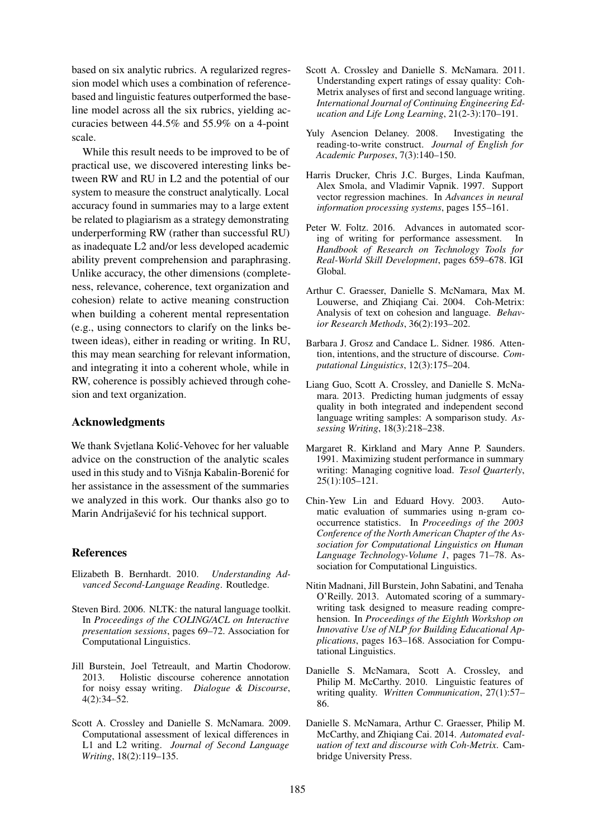based on six analytic rubrics. A regularized regression model which uses a combination of referencebased and linguistic features outperformed the baseline model across all the six rubrics, yielding accuracies between 44.5% and 55.9% on a 4-point scale.

While this result needs to be improved to be of practical use, we discovered interesting links between RW and RU in L2 and the potential of our system to measure the construct analytically. Local accuracy found in summaries may to a large extent be related to plagiarism as a strategy demonstrating underperforming RW (rather than successful RU) as inadequate L2 and/or less developed academic ability prevent comprehension and paraphrasing. Unlike accuracy, the other dimensions (completeness, relevance, coherence, text organization and cohesion) relate to active meaning construction when building a coherent mental representation (e.g., using connectors to clarify on the links between ideas), either in reading or writing. In RU, this may mean searching for relevant information, and integrating it into a coherent whole, while in RW, coherence is possibly achieved through cohesion and text organization.

#### Acknowledgments

We thank Svjetlana Kolić-Vehovec for her valuable advice on the construction of the analytic scales used in this study and to Višnja Kabalin-Borenić for her assistance in the assessment of the summaries we analyzed in this work. Our thanks also go to Marin Andrijašević for his technical support.

#### **References**

- Elizabeth B. Bernhardt. 2010. *Understanding Advanced Second-Language Reading*. Routledge.
- Steven Bird. 2006. NLTK: the natural language toolkit. In *Proceedings of the COLING/ACL on Interactive presentation sessions*, pages 69–72. Association for Computational Linguistics.
- Jill Burstein, Joel Tetreault, and Martin Chodorow. 2013. Holistic discourse coherence annotation for noisy essay writing. *Dialogue & Discourse*, 4(2):34–52.
- Scott A. Crossley and Danielle S. McNamara. 2009. Computational assessment of lexical differences in L1 and L2 writing. *Journal of Second Language Writing*, 18(2):119–135.
- Scott A. Crossley and Danielle S. McNamara. 2011. Understanding expert ratings of essay quality: Coh-Metrix analyses of first and second language writing. *International Journal of Continuing Engineering Education and Life Long Learning*, 21(2-3):170–191.
- Yuly Asencion Delaney. 2008. Investigating the reading-to-write construct. *Journal of English for Academic Purposes*, 7(3):140–150.
- Harris Drucker, Chris J.C. Burges, Linda Kaufman, Alex Smola, and Vladimir Vapnik. 1997. Support vector regression machines. In *Advances in neural information processing systems*, pages 155–161.
- Peter W. Foltz. 2016. Advances in automated scoring of writing for performance assessment. In *Handbook of Research on Technology Tools for Real-World Skill Development*, pages 659–678. IGI Global.
- Arthur C. Graesser, Danielle S. McNamara, Max M. Louwerse, and Zhiqiang Cai. 2004. Coh-Metrix: Analysis of text on cohesion and language. *Behavior Research Methods*, 36(2):193–202.
- Barbara J. Grosz and Candace L. Sidner. 1986. Attention, intentions, and the structure of discourse. *Computational Linguistics*, 12(3):175–204.
- Liang Guo, Scott A. Crossley, and Danielle S. McNamara. 2013. Predicting human judgments of essay quality in both integrated and independent second language writing samples: A somparison study. *Assessing Writing*, 18(3):218–238.
- Margaret R. Kirkland and Mary Anne P. Saunders. 1991. Maximizing student performance in summary writing: Managing cognitive load. *Tesol Quarterly*, 25(1):105–121.
- Chin-Yew Lin and Eduard Hovy. 2003. Automatic evaluation of summaries using n-gram cooccurrence statistics. In *Proceedings of the 2003 Conference of the North American Chapter of the Association for Computational Linguistics on Human Language Technology-Volume 1*, pages 71–78. Association for Computational Linguistics.
- Nitin Madnani, Jill Burstein, John Sabatini, and Tenaha O'Reilly. 2013. Automated scoring of a summarywriting task designed to measure reading comprehension. In *Proceedings of the Eighth Workshop on Innovative Use of NLP for Building Educational Applications*, pages 163–168. Association for Computational Linguistics.
- Danielle S. McNamara, Scott A. Crossley, and Philip M. McCarthy. 2010. Linguistic features of writing quality. *Written Communication*, 27(1):57– 86.
- Danielle S. McNamara, Arthur C. Graesser, Philip M. McCarthy, and Zhiqiang Cai. 2014. *Automated evaluation of text and discourse with Coh-Metrix*. Cambridge University Press.